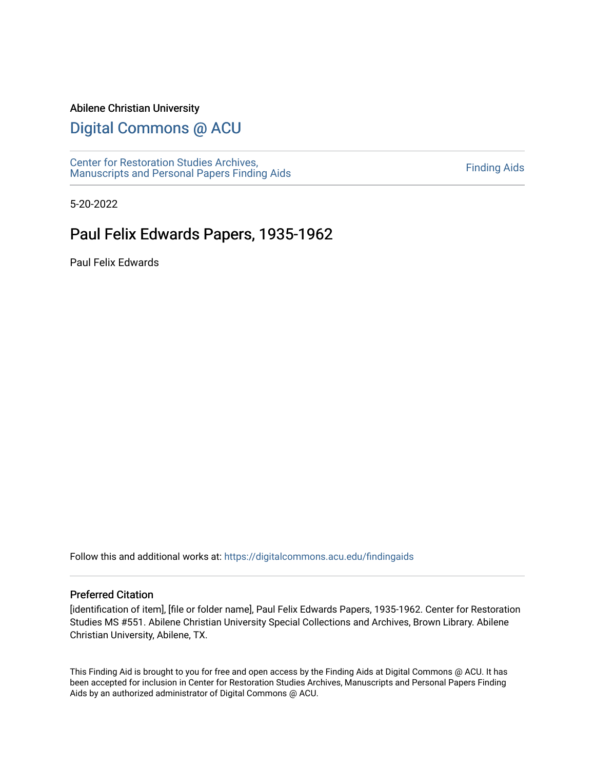### Abilene Christian University

# [Digital Commons @ ACU](https://digitalcommons.acu.edu/)

[Center for Restoration Studies Archives,](https://digitalcommons.acu.edu/findingaids)  [Manuscripts and Personal Papers Finding Aids](https://digitalcommons.acu.edu/findingaids) [Finding Aids](https://digitalcommons.acu.edu/crs_finding_aids) 

5-20-2022

# Paul Felix Edwards Papers, 1935-1962

Paul Felix Edwards

Follow this and additional works at: [https://digitalcommons.acu.edu/findingaids](https://digitalcommons.acu.edu/findingaids?utm_source=digitalcommons.acu.edu%2Ffindingaids%2F838&utm_medium=PDF&utm_campaign=PDFCoverPages)

#### Preferred Citation

[identification of item], [file or folder name], Paul Felix Edwards Papers, 1935-1962. Center for Restoration Studies MS #551. Abilene Christian University Special Collections and Archives, Brown Library. Abilene Christian University, Abilene, TX.

This Finding Aid is brought to you for free and open access by the Finding Aids at Digital Commons @ ACU. It has been accepted for inclusion in Center for Restoration Studies Archives, Manuscripts and Personal Papers Finding Aids by an authorized administrator of Digital Commons @ ACU.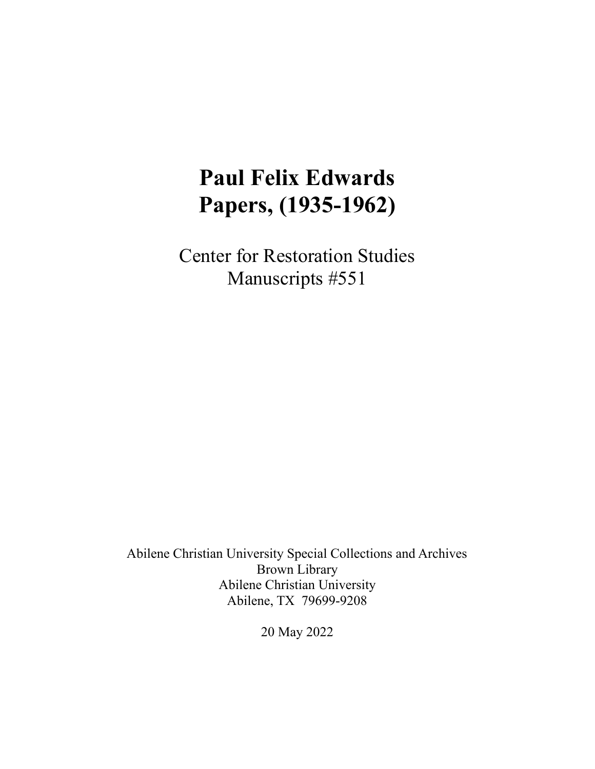# **Paul Felix Edwards Papers, (1935-1962)**

Center for Restoration Studies Manuscripts #551

Abilene Christian University Special Collections and Archives Brown Library Abilene Christian University Abilene, TX 79699-9208

20 May 2022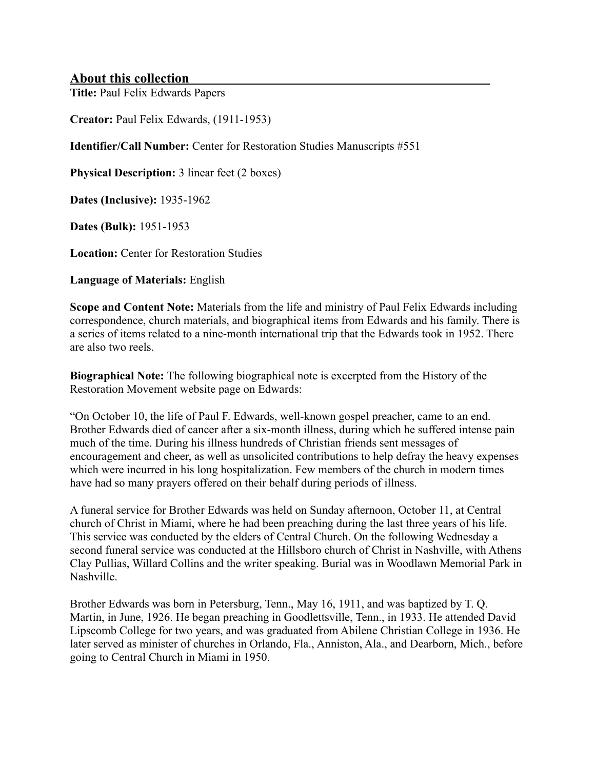# **About this collection**

**Title:** Paul Felix Edwards Papers

**Creator:** Paul Felix Edwards, (1911-1953)

**Identifier/Call Number:** Center for Restoration Studies Manuscripts #551

**Physical Description:** 3 linear feet (2 boxes)

**Dates (Inclusive):** 1935-1962

**Dates (Bulk):** 1951-1953

**Location:** Center for Restoration Studies

**Language of Materials:** English

**Scope and Content Note:** Materials from the life and ministry of Paul Felix Edwards including correspondence, church materials, and biographical items from Edwards and his family. There is a series of items related to a nine-month international trip that the Edwards took in 1952. There are also two reels.

**Biographical Note:** The following biographical note is excerpted from the History of the Restoration Movement website page on Edwards:

"On October 10, the life of Paul F. Edwards, well-known gospel preacher, came to an end. Brother Edwards died of cancer after a six-month illness, during which he suffered intense pain much of the time. During his illness hundreds of Christian friends sent messages of encouragement and cheer, as well as unsolicited contributions to help defray the heavy expenses which were incurred in his long hospitalization. Few members of the church in modern times have had so many prayers offered on their behalf during periods of illness.

A funeral service for Brother Edwards was held on Sunday afternoon, October 11, at Central church of Christ in Miami, where he had been preaching during the last three years of his life. This service was conducted by the elders of Central Church. On the following Wednesday a second funeral service was conducted at the Hillsboro church of Christ in Nashville, with Athens Clay Pullias, Willard Collins and the writer speaking. Burial was in Woodlawn Memorial Park in Nashville.

Brother Edwards was born in Petersburg, Tenn., May 16, 1911, and was baptized by T. Q. Martin, in June, 1926. He began preaching in Goodlettsville, Tenn., in 1933. He attended David Lipscomb College for two years, and was graduated from Abilene Christian College in 1936. He later served as minister of churches in Orlando, Fla., Anniston, Ala., and Dearborn, Mich., before going to Central Church in Miami in 1950.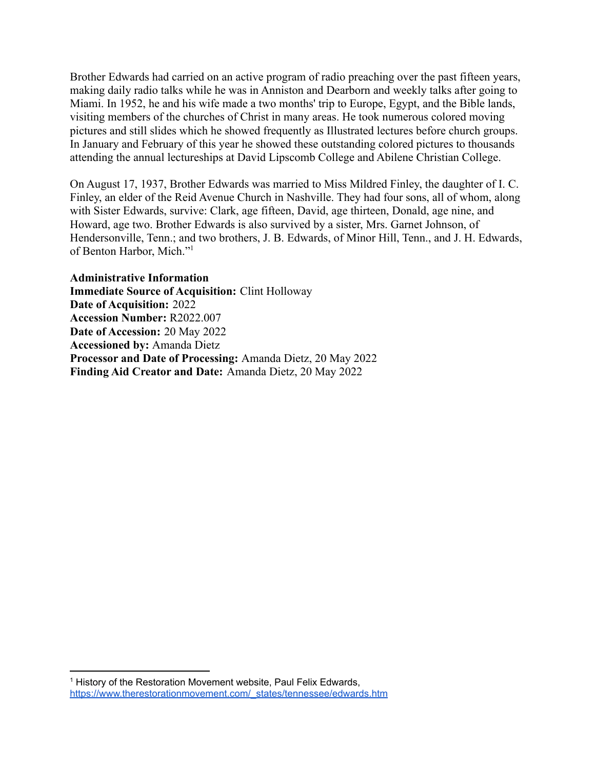Brother Edwards had carried on an active program of radio preaching over the past fifteen years, making daily radio talks while he was in Anniston and Dearborn and weekly talks after going to Miami. In 1952, he and his wife made a two months' trip to Europe, Egypt, and the Bible lands, visiting members of the churches of Christ in many areas. He took numerous colored moving pictures and still slides which he showed frequently as Illustrated lectures before church groups. In January and February of this year he showed these outstanding colored pictures to thousands attending the annual lectureships at David Lipscomb College and Abilene Christian College.

On August 17, 1937, Brother Edwards was married to Miss Mildred Finley, the daughter of I. C. Finley, an elder of the Reid Avenue Church in Nashville. They had four sons, all of whom, along with Sister Edwards, survive: Clark, age fifteen, David, age thirteen, Donald, age nine, and Howard, age two. Brother Edwards is also survived by a sister, Mrs. Garnet Johnson, of Hendersonville, Tenn.; and two brothers, J. B. Edwards, of Minor Hill, Tenn., and J. H. Edwards, of Benton Harbor, Mich."<sup>1</sup>

**Administrative Information Immediate Source of Acquisition:** Clint Holloway **Date of Acquisition:** 2022 **Accession Number:** R2022.007 **Date of Accession:** 20 May 2022 **Accessioned by:** Amanda Dietz **Processor and Date of Processing:** Amanda Dietz, 20 May 2022 **Finding Aid Creator and Date:** Amanda Dietz, 20 May 2022

<sup>&</sup>lt;sup>1</sup> History of the Restoration Movement website, Paul Felix Edwards, [https://www.therestorationmovement.com/\\_states/tennessee/edwards.htm](https://www.therestorationmovement.com/_states/tennessee/edwards.htm)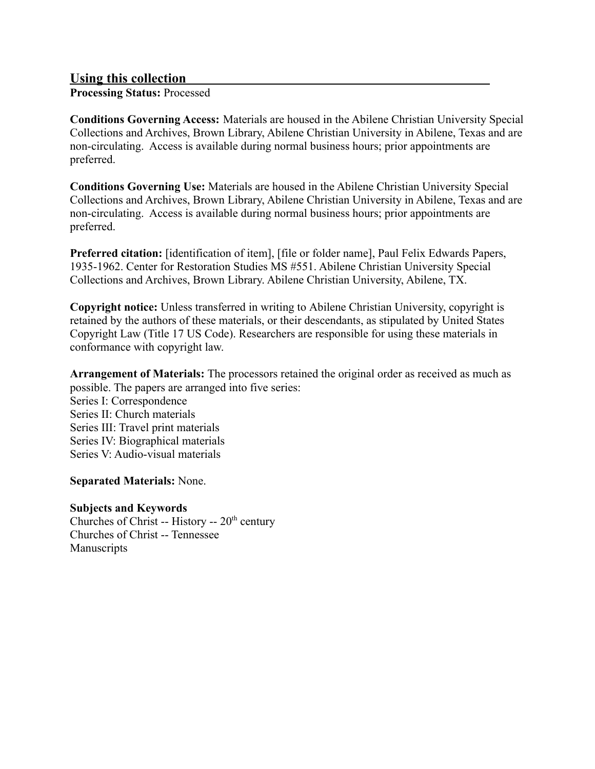# **Using this collection**

**Processing Status:** Processed

**Conditions Governing Access:** Materials are housed in the Abilene Christian University Special Collections and Archives, Brown Library, Abilene Christian University in Abilene, Texas and are non-circulating. Access is available during normal business hours; prior appointments are preferred.

**Conditions Governing Use:** Materials are housed in the Abilene Christian University Special Collections and Archives, Brown Library, Abilene Christian University in Abilene, Texas and are non-circulating. Access is available during normal business hours; prior appointments are preferred.

**Preferred citation:** [identification of item], [file or folder name], Paul Felix Edwards Papers, 1935-1962. Center for Restoration Studies MS #551. Abilene Christian University Special Collections and Archives, Brown Library. Abilene Christian University, Abilene, TX.

**Copyright notice:** Unless transferred in writing to Abilene Christian University, copyright is retained by the authors of these materials, or their descendants, as stipulated by United States Copyright Law (Title 17 US Code). Researchers are responsible for using these materials in conformance with copyright law.

**Arrangement of Materials:** The processors retained the original order as received as much as possible. The papers are arranged into five series:

Series I: Correspondence Series II: Church materials Series III: Travel print materials Series IV: Biographical materials Series V: Audio-visual materials

**Separated Materials:** None.

# **Subjects and Keywords**

Churches of Christ -- History --  $20<sup>th</sup>$  century Churches of Christ -- Tennessee Manuscripts